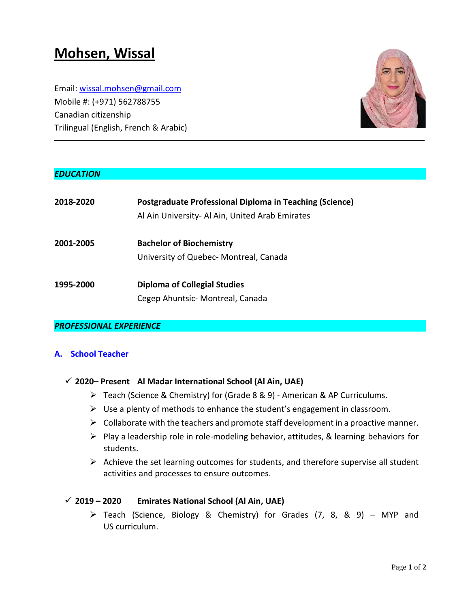# **Mohsen, Wissal**

Email: wissal.mohsen@gmail.com Mobile #: (+971) 562788755 Canadian citizenship Trilingual (English, French & Arabic)



# *EDUCATION*

| 2018-2020 | Postgraduate Professional Diploma in Teaching (Science)<br>Al Ain University- Al Ain, United Arab Emirates |
|-----------|------------------------------------------------------------------------------------------------------------|
| 2001-2005 | <b>Bachelor of Biochemistry</b>                                                                            |
|           | University of Quebec- Montreal, Canada                                                                     |
| 1995-2000 | <b>Diploma of Collegial Studies</b>                                                                        |
|           | Cegep Ahuntsic- Montreal, Canada                                                                           |

## *PROFESSIONAL EXPERIENCE*

## **A. School Teacher**

## **2020– Present Al Madar International School (Al Ain, UAE)**

- Teach (Science & Chemistry) for (Grade 8 & 9) American & AP Curriculums.
- $\triangleright$  Use a plenty of methods to enhance the student's engagement in classroom.
- $\triangleright$  Collaborate with the teachers and promote staff development in a proactive manner.
- $\triangleright$  Play a leadership role in role-modeling behavior, attitudes, & learning behaviors for students.
- $\triangleright$  Achieve the set learning outcomes for students, and therefore supervise all student activities and processes to ensure outcomes.

## **2019 – 2020 Emirates National School (Al Ain, UAE)**

 Teach (Science, Biology & Chemistry) for Grades (7, 8, & 9) – MYP and US curriculum.